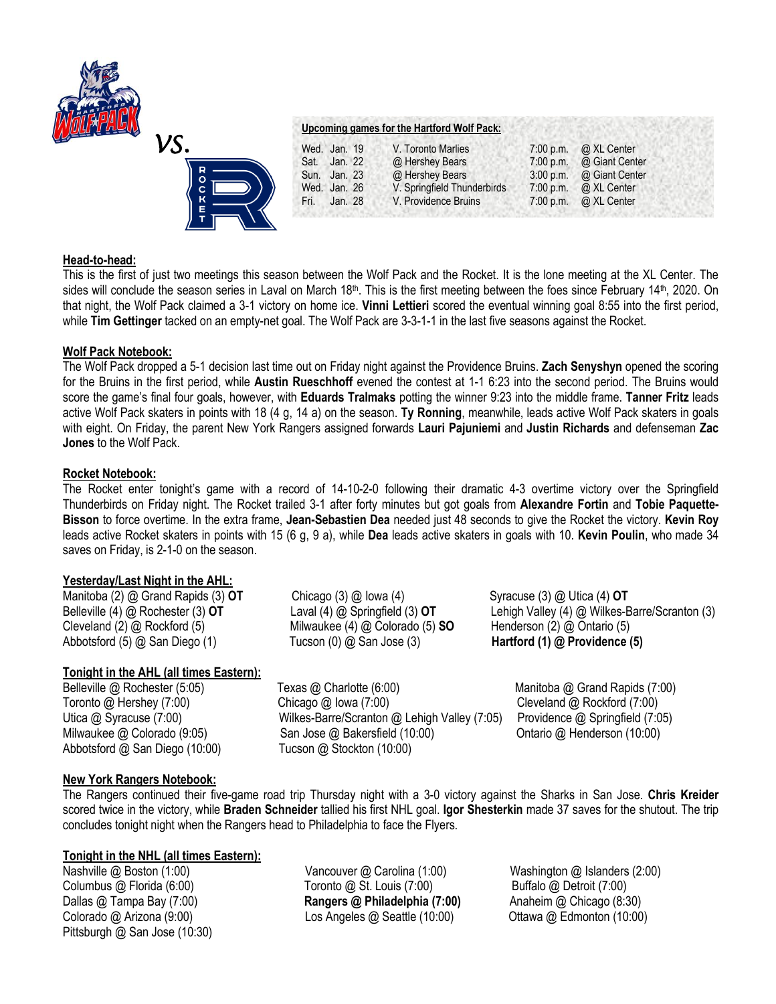



## **Head-to-head:**

This is the first of just two meetings this season between the Wolf Pack and the Rocket. It is the lone meeting at the XL Center. The sides will conclude the season series in Laval on March 18<sup>th</sup>. This is the first meeting between the foes since February 14<sup>th</sup>, 2020. On that night, the Wolf Pack claimed a 3-1 victory on home ice. **Vinni Lettieri** scored the eventual winning goal 8:55 into the first period, while **Tim Gettinger** tacked on an empty-net goal. The Wolf Pack are 3-3-1-1 in the last five seasons against the Rocket.

## **Wolf Pack Notebook:**

The Wolf Pack dropped a 5-1 decision last time out on Friday night against the Providence Bruins. **Zach Senyshyn** opened the scoring for the Bruins in the first period, while **Austin Rueschhoff** evened the contest at 1-1 6:23 into the second period. The Bruins would score the game's final four goals, however, with **Eduards Tralmaks** potting the winner 9:23 into the middle frame. **Tanner Fritz** leads active Wolf Pack skaters in points with 18 (4 g, 14 a) on the season. **Ty Ronning**, meanwhile, leads active Wolf Pack skaters in goals with eight. On Friday, the parent New York Rangers assigned forwards **Lauri Pajuniemi** and **Justin Richards** and defenseman **Zac Jones** to the Wolf Pack.

## **Rocket Notebook:**

The Rocket enter tonight's game with a record of 14-10-2-0 following their dramatic 4-3 overtime victory over the Springfield Thunderbirds on Friday night. The Rocket trailed 3-1 after forty minutes but got goals from **Alexandre Fortin** and **Tobie Paquette-Bisson** to force overtime. In the extra frame, **Jean-Sebastien Dea** needed just 48 seconds to give the Rocket the victory. **Kevin Roy**  leads active Rocket skaters in points with 15 (6 g, 9 a), while **Dea** leads active skaters in goals with 10. **Kevin Poulin**, who made 34 saves on Friday, is 2-1-0 on the season.

### **Yesterday/Last Night in the AHL:**

Manitoba (2) @ Grand Rapids (3) **OT** Chicago (3) @ Iowa (4) Syracuse (3) @ Utica (4) **OT** Cleveland (2) @ Rockford (5) Milwaukee (4) @ Colorado (5) **SO** Henderson (2) @ Ontario (5) Abbotsford (5) @ San Diego (1) Tucson (0) @ San Jose (3) **Hartford (1) @ Providence (5)**

# **Tonight in the AHL (all times Eastern):**

Abbotsford @ San Diego (10:00) Tucson @ Stockton (10:00)

Belleville @ Rochester (5:05) Texas @ Charlotte (6:00) Manitoba @ Grand Rapids (7:00) Toronto @ Hershey (7:00) Chicago @ Iowa (7:00) Cleveland @ Rockford (7:00) Utica @ Syracuse (7:00) Wilkes-Barre/Scranton @ Lehigh Valley (7:05) Providence @ Springfield (7:05) Milwaukee @ Colorado (9:05) San Jose @ Bakersfield (10:00) Ontario @ Henderson (10:00)

Belleville (4) @ Rochester (3) **OT** Laval (4) @ Springfield (3) **OT** Lehigh Valley (4) @ Wilkes-Barre/Scranton (3)

# **New York Rangers Notebook:**

The Rangers continued their five-game road trip Thursday night with a 3-0 victory against the Sharks in San Jose. **Chris Kreider**  scored twice in the victory, while **Braden Schneider** tallied his first NHL goal. **Igor Shesterkin** made 37 saves for the shutout. The trip concludes tonight night when the Rangers head to Philadelphia to face the Flyers.

# **Tonight in the NHL (all times Eastern):**

Pittsburgh @ San Jose (10:30)

Nashville @ Boston (1:00) Vancouver @ Carolina (1:00) Washington @ Islanders (2:00) Columbus @ Florida (6:00) Toronto @ St. Louis (7:00) Buffalo @ Detroit (7:00) Dallas @ Tampa Bay (7:00) **Rangers @ Philadelphia (7:00)** Anaheim @ Chicago (8:30) Colorado @ Arizona (9:00) Los Angeles @ Seattle (10:00) Ottawa @ Edmonton (10:00)